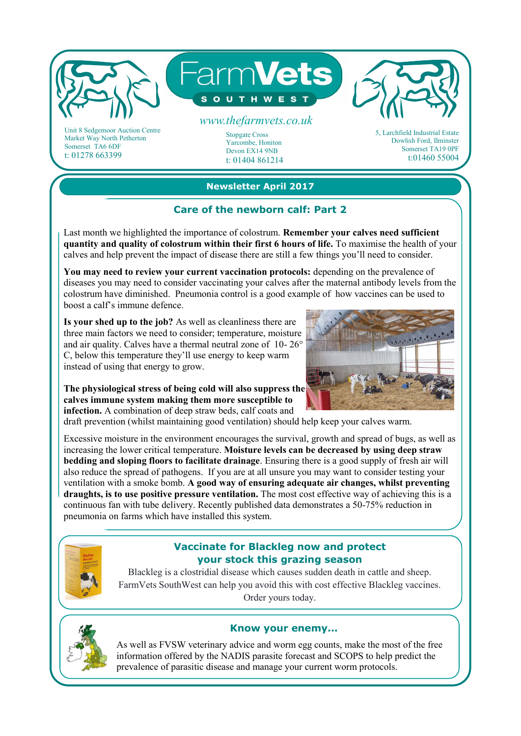

Market Way North Petherton Somerset TA6 6DF t: 01278 663399

# **Newsletter April 2017**

Yarcombe, Honiton Devon EX14 9NB t: 01404 861214

### Care of the newborn calf: Part 2

Last month we highlighted the importance of colostrum. **Remember your calves need sufficient quantity and quality of colostrum within their first 6 hours of life.** To maximise the health of your calves and help prevent the impact of disease there are still a few things you'll need to consider.

**You may need to review your current vaccination protocols:** depending on the prevalence of diseases you may need to consider vaccinating your calves after the maternal antibody levels from the colostrum have diminished. Pneumonia control is a good example of how vaccines can be used to boost a calf's immune defence.

**Is your shed up to the job?** As well as cleanliness there are three main factors we need to consider; temperature, moisture and air quality. Calves have a thermal neutral zone of 10- 26° C, below this temperature they'll use energy to keep warm instead of using that energy to grow.



Dowlish Ford, Ilminster Somerset TA19 0PF t:01460 55004

**The physiological stress of being cold will also suppress the calves immune system making them more susceptible to infection.** A combination of deep straw beds, calf coats and

draft prevention (whilst maintaining good ventilation) should help keep your calves warm.

Excessive moisture in the environment encourages the survival, growth and spread of bugs, as well as increasing the lower critical temperature. **Moisture levels can be decreased by using deep straw bedding and sloping floors to facilitate drainage**. Ensuring there is a good supply of fresh air will also reduce the spread of pathogens. If you are at all unsure you may want to consider testing your ventilation with a smoke bomb. **A good way of ensuring adequate air changes, whilst preventing draughts, is to use positive pressure ventilation.** The most cost effective way of achieving this is a continuous fan with tube delivery. Recently published data demonstrates a 50-75% reduction in pneumonia on farms which have installed this system.



## **Vaccinate for Blackleg now and protect your stock this grazing season**

Blackleg is a clostridial disease which causes sudden death in cattle and sheep. FarmVets SouthWest can help you avoid this with cost effective Blackleg vaccines. Order yours today.



#### **Know your enemy...**

As well as FVSW veterinary advice and worm egg counts, make the most of the free information offered by the NADIS parasite forecast and SCOPS to help predict the prevalence of parasitic disease and manage your current worm protocols.